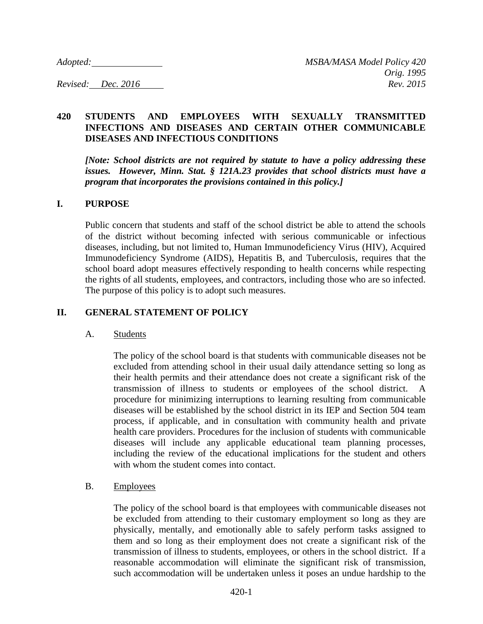# **420 STUDENTS AND EMPLOYEES WITH SEXUALLY TRANSMITTED INFECTIONS AND DISEASES AND CERTAIN OTHER COMMUNICABLE DISEASES AND INFECTIOUS CONDITIONS**

*[Note: School districts are not required by statute to have a policy addressing these issues. However, Minn. Stat. § 121A.23 provides that school districts must have a program that incorporates the provisions contained in this policy.]*

### **I. PURPOSE**

Public concern that students and staff of the school district be able to attend the schools of the district without becoming infected with serious communicable or infectious diseases, including, but not limited to, Human Immunodeficiency Virus (HIV), Acquired Immunodeficiency Syndrome (AIDS), Hepatitis B, and Tuberculosis, requires that the school board adopt measures effectively responding to health concerns while respecting the rights of all students, employees, and contractors, including those who are so infected. The purpose of this policy is to adopt such measures.

# **II. GENERAL STATEMENT OF POLICY**

### A. Students

The policy of the school board is that students with communicable diseases not be excluded from attending school in their usual daily attendance setting so long as their health permits and their attendance does not create a significant risk of the transmission of illness to students or employees of the school district. A procedure for minimizing interruptions to learning resulting from communicable diseases will be established by the school district in its IEP and Section 504 team process, if applicable, and in consultation with community health and private health care providers. Procedures for the inclusion of students with communicable diseases will include any applicable educational team planning processes, including the review of the educational implications for the student and others with whom the student comes into contact.

## B. Employees

The policy of the school board is that employees with communicable diseases not be excluded from attending to their customary employment so long as they are physically, mentally, and emotionally able to safely perform tasks assigned to them and so long as their employment does not create a significant risk of the transmission of illness to students, employees, or others in the school district. If a reasonable accommodation will eliminate the significant risk of transmission, such accommodation will be undertaken unless it poses an undue hardship to the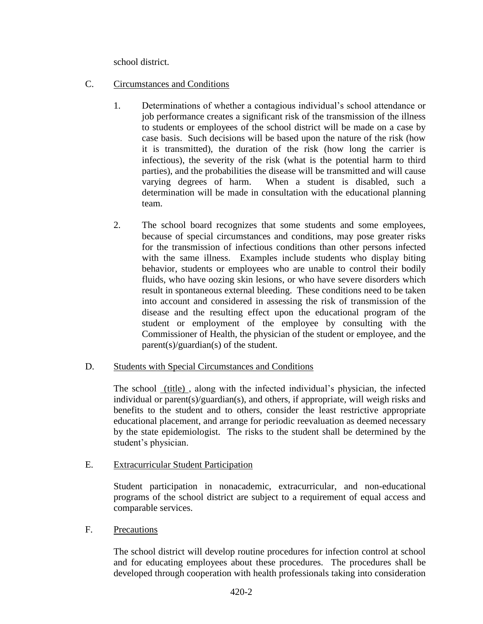school district.

- C. Circumstances and Conditions
	- 1. Determinations of whether a contagious individual's school attendance or job performance creates a significant risk of the transmission of the illness to students or employees of the school district will be made on a case by case basis. Such decisions will be based upon the nature of the risk (how it is transmitted), the duration of the risk (how long the carrier is infectious), the severity of the risk (what is the potential harm to third parties), and the probabilities the disease will be transmitted and will cause varying degrees of harm. When a student is disabled, such a determination will be made in consultation with the educational planning team.
	- 2. The school board recognizes that some students and some employees, because of special circumstances and conditions, may pose greater risks for the transmission of infectious conditions than other persons infected with the same illness. Examples include students who display biting behavior, students or employees who are unable to control their bodily fluids, who have oozing skin lesions, or who have severe disorders which result in spontaneous external bleeding. These conditions need to be taken into account and considered in assessing the risk of transmission of the disease and the resulting effect upon the educational program of the student or employment of the employee by consulting with the Commissioner of Health, the physician of the student or employee, and the parent(s)/guardian(s) of the student.

### D. Students with Special Circumstances and Conditions

The school (title) , along with the infected individual's physician, the infected individual or parent(s)/guardian(s), and others, if appropriate, will weigh risks and benefits to the student and to others, consider the least restrictive appropriate educational placement, and arrange for periodic reevaluation as deemed necessary by the state epidemiologist. The risks to the student shall be determined by the student's physician.

## E. Extracurricular Student Participation

Student participation in nonacademic, extracurricular, and non-educational programs of the school district are subject to a requirement of equal access and comparable services.

### F. Precautions

The school district will develop routine procedures for infection control at school and for educating employees about these procedures. The procedures shall be developed through cooperation with health professionals taking into consideration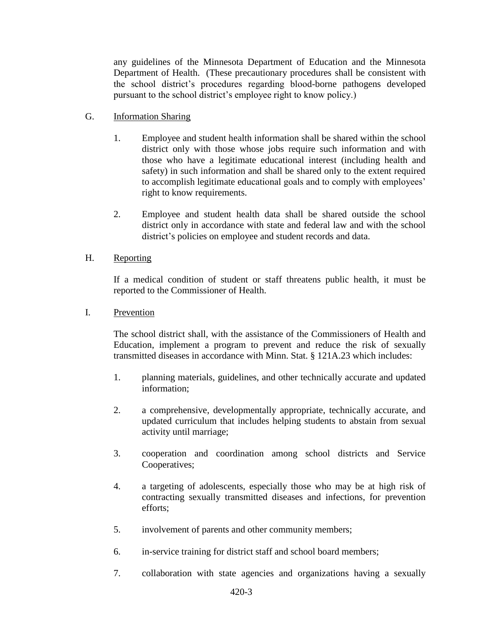any guidelines of the Minnesota Department of Education and the Minnesota Department of Health. (These precautionary procedures shall be consistent with the school district's procedures regarding blood-borne pathogens developed pursuant to the school district's employee right to know policy.)

- G. Information Sharing
	- 1. Employee and student health information shall be shared within the school district only with those whose jobs require such information and with those who have a legitimate educational interest (including health and safety) in such information and shall be shared only to the extent required to accomplish legitimate educational goals and to comply with employees' right to know requirements.
	- 2. Employee and student health data shall be shared outside the school district only in accordance with state and federal law and with the school district's policies on employee and student records and data.

### H. Reporting

If a medical condition of student or staff threatens public health, it must be reported to the Commissioner of Health.

I. Prevention

The school district shall, with the assistance of the Commissioners of Health and Education, implement a program to prevent and reduce the risk of sexually transmitted diseases in accordance with Minn. Stat. § 121A.23 which includes:

- 1. planning materials, guidelines, and other technically accurate and updated information;
- 2. a comprehensive, developmentally appropriate, technically accurate, and updated curriculum that includes helping students to abstain from sexual activity until marriage;
- 3. cooperation and coordination among school districts and Service Cooperatives;
- 4. a targeting of adolescents, especially those who may be at high risk of contracting sexually transmitted diseases and infections, for prevention efforts;
- 5. involvement of parents and other community members;
- 6. in-service training for district staff and school board members;
- 7. collaboration with state agencies and organizations having a sexually